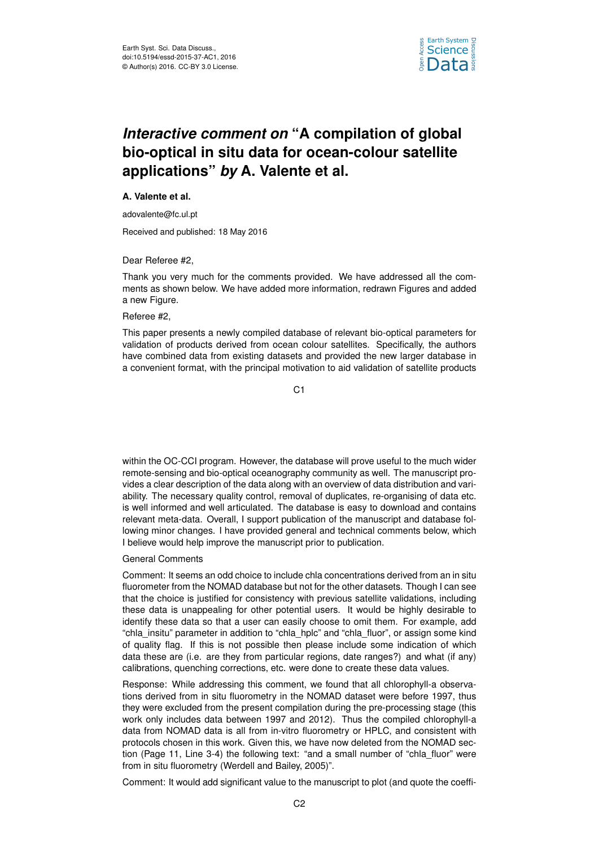

# *Interactive comment on* **"A compilation of global bio-optical in situ data for ocean-colour satellite applications"** *by* **A. Valente et al.**

## **A. Valente et al.**

adovalente@fc.ul.pt

Received and published: 18 May 2016

Dear Referee #2,

Thank you very much for the comments provided. We have addressed all the comments as shown below. We have added more information, redrawn Figures and added a new Figure.

### Referee #2,

This paper presents a newly compiled database of relevant bio-optical parameters for validation of products derived from ocean colour satellites. Specifically, the authors have combined data from existing datasets and provided the new larger database in a convenient format, with the principal motivation to aid validation of satellite products

C<sub>1</sub>

within the OC-CCI program. However, the database will prove useful to the much wider remote-sensing and bio-optical oceanography community as well. The manuscript provides a clear description of the data along with an overview of data distribution and variability. The necessary quality control, removal of duplicates, re-organising of data etc. is well informed and well articulated. The database is easy to download and contains relevant meta-data. Overall, I support publication of the manuscript and database following minor changes. I have provided general and technical comments below, which I believe would help improve the manuscript prior to publication.

### General Comments

Comment: It seems an odd choice to include chla concentrations derived from an in situ fluorometer from the NOMAD database but not for the other datasets. Though I can see that the choice is justified for consistency with previous satellite validations, including these data is unappealing for other potential users. It would be highly desirable to identify these data so that a user can easily choose to omit them. For example, add "chla\_insitu" parameter in addition to "chla\_hplc" and "chla\_fluor", or assign some kind of quality flag. If this is not possible then please include some indication of which data these are (i.e. are they from particular regions, date ranges?) and what (if any) calibrations, quenching corrections, etc. were done to create these data values.

Response: While addressing this comment, we found that all chlorophyll-a observations derived from in situ fluorometry in the NOMAD dataset were before 1997, thus they were excluded from the present compilation during the pre-processing stage (this work only includes data between 1997 and 2012). Thus the compiled chlorophyll-a data from NOMAD data is all from in-vitro fluorometry or HPLC, and consistent with protocols chosen in this work. Given this, we have now deleted from the NOMAD section (Page 11, Line 3-4) the following text: "and a small number of "chla\_fluor" were from in situ fluorometry (Werdell and Bailey, 2005)".

Comment: It would add significant value to the manuscript to plot (and quote the coeffi-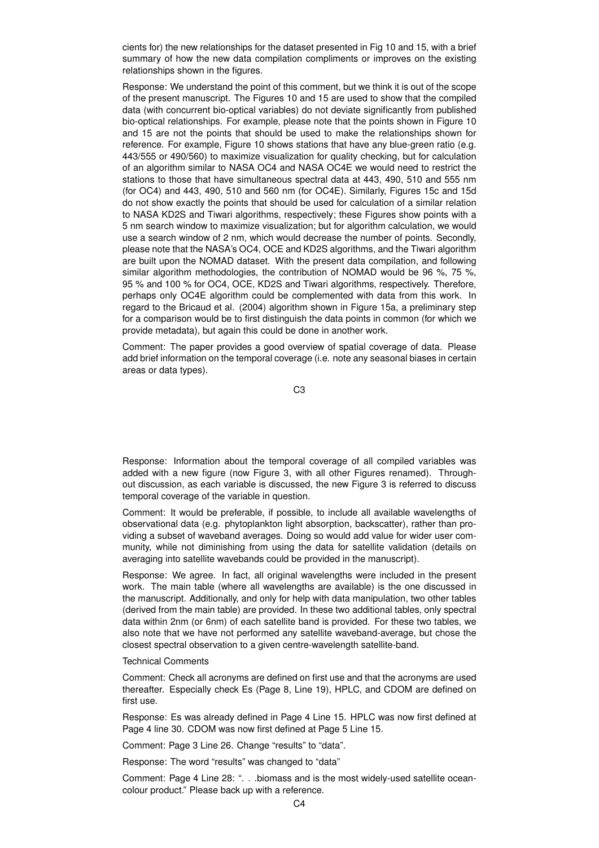cients for) the new relationships for the dataset presented in Fig 10 and 15, with a brief summary of how the new data compilation compliments or improves on the existing relationships shown in the figures.

Response: We understand the point of this comment, but we think it is out of the scope of the present manuscript. The Figures 10 and 15 are used to show that the compiled data (with concurrent bio-optical variables) do not deviate significantly from published bio-optical relationships. For example, please note that the points shown in Figure 10 and 15 are not the points that should be used to make the relationships shown for reference. For example, Figure 10 shows stations that have any blue-green ratio (e.g. 443/555 or 490/560) to maximize visualization for quality checking, but for calculation of an algorithm similar to NASA OC4 and NASA OC4E we would need to restrict the stations to those that have simultaneous spectral data at 443, 490, 510 and 555 nm (for OC4) and 443, 490, 510 and 560 nm (for OC4E). Similarly, Figures 15c and 15d do not show exactly the points that should be used for calculation of a similar relation to NASA KD2S and Tiwari algorithms, respectively; these Figures show points with a 5 nm search window to maximize visualization; but for algorithm calculation, we would use a search window of 2 nm, which would decrease the number of points. Secondly, please note that the NASA's OC4, OCE and KD2S algorithms, and the Tiwari algorithm are built upon the NOMAD dataset. With the present data compilation, and following similar algorithm methodologies, the contribution of NOMAD would be 96 %, 75 %, 95 % and 100 % for OC4, OCE, KD2S and Tiwari algorithms, respectively. Therefore, perhaps only OC4E algorithm could be complemented with data from this work. In regard to the Bricaud et al. (2004) algorithm shown in Figure 15a, a preliminary step for a comparison would be to first distinguish the data points in common (for which we provide metadata), but again this could be done in another work.

Comment: The paper provides a good overview of spatial coverage of data. Please add brief information on the temporal coverage (i.e. note any seasonal biases in certain areas or data types).

C3

Response: Information about the temporal coverage of all compiled variables was added with a new figure (now Figure 3, with all other Figures renamed). Throughout discussion, as each variable is discussed, the new Figure 3 is referred to discuss temporal coverage of the variable in question.

Comment: It would be preferable, if possible, to include all available wavelengths of observational data (e.g. phytoplankton light absorption, backscatter), rather than providing a subset of waveband averages. Doing so would add value for wider user community, while not diminishing from using the data for satellite validation (details on averaging into satellite wavebands could be provided in the manuscript).

Response: We agree. In fact, all original wavelengths were included in the present work. The main table (where all wavelengths are available) is the one discussed in the manuscript. Additionally, and only for help with data manipulation, two other tables (derived from the main table) are provided. In these two additional tables, only spectral data within 2nm (or 6nm) of each satellite band is provided. For these two tables, we also note that we have not performed any satellite waveband-average, but chose the closest spectral observation to a given centre-wavelength satellite-band.

### Technical Comments

Comment: Check all acronyms are defined on first use and that the acronyms are used thereafter. Especially check Es (Page 8, Line 19), HPLC, and CDOM are defined on first use.

Response: Es was already defined in Page 4 Line 15. HPLC was now first defined at Page 4 line 30. CDOM was now first defined at Page 5 Line 15.

Comment: Page 3 Line 26. Change "results" to "data".

Response: The word "results" was changed to "data"

Comment: Page 4 Line 28: ". . .biomass and is the most widely-used satellite oceancolour product." Please back up with a reference.